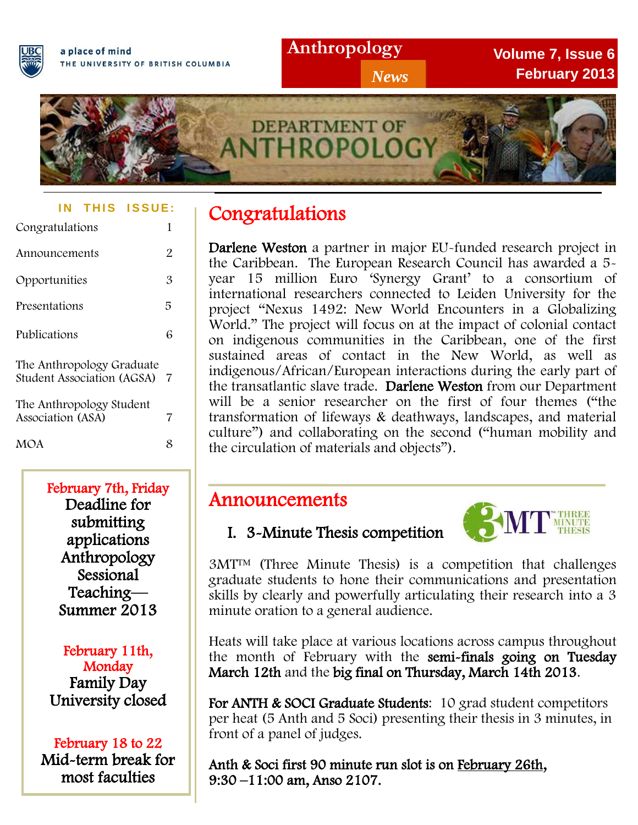

**Volume 7, Issue 6 February 2013**



#### **IN THIS ISSUE:**

| Congratulations                                                | 1  |  |
|----------------------------------------------------------------|----|--|
| Announcements                                                  | 2  |  |
| Opportunities                                                  | 3  |  |
| Presentations                                                  | 5  |  |
| Publications                                                   | 6  |  |
| The Anthropology Graduate<br><b>Student Association (AGSA)</b> | -7 |  |
| The Anthropology Student<br>Association (ASA)                  | 7  |  |
| <b>MOA</b>                                                     | 8  |  |

Deadline for February 7th, Friday submitting applications Anthropology Sessional<sup>1</sup> Teaching— Summer 2013

> February 11th, **Monday** Family Day University closed

#### February 18 to 22

Mid-term break for most faculties

## Congratulations

 Darlene Weston a partner in major EU-funded research project in the Caribbean. The European Research Council has awarded a 5 year 15 million Euro 'Synergy Grant' to a consortium of international researchers connected to Leiden University for the project "Nexus 1492: New World Encounters in a Globalizing World." The project will focus on at the impact of colonial contact on indigenous communities in the Caribbean, one of the first sustained areas of contact in the New World, as well as indigenous/African/European interactions during the early part of the transatlantic slave trade. Darlene Weston from our Department will be a senior researcher on the first of four themes ("the transformation of lifeways & deathways, landscapes, and material culture") and collaborating on the second ("human mobility and the circulation of materials and objects").

# Announcements

## I. 3-Minute Thesis competition



 $\overline{a}$  graduate students to hone their communications and presentation skills by clearly and powerfully articulating their research into a 3 3MT™ (Three Minute Thesis) is a competition that challenges minute oration to a general audience.

the month of February with the semi-finals going on Tuesday Heats will take place at various locations across campus throughout March 12th and the big final on Thursday, March 14th 2013.

For ANTH & SOCI Graduate Students: 10 grad student competitors per heat (5 Anth and 5 Soci) presenting their thesis in 3 minutes, in front of a panel of judges.

Anth & Soci first 90 minute run slot is on February 26th, 9:30 –11:00 am, Anso 2107.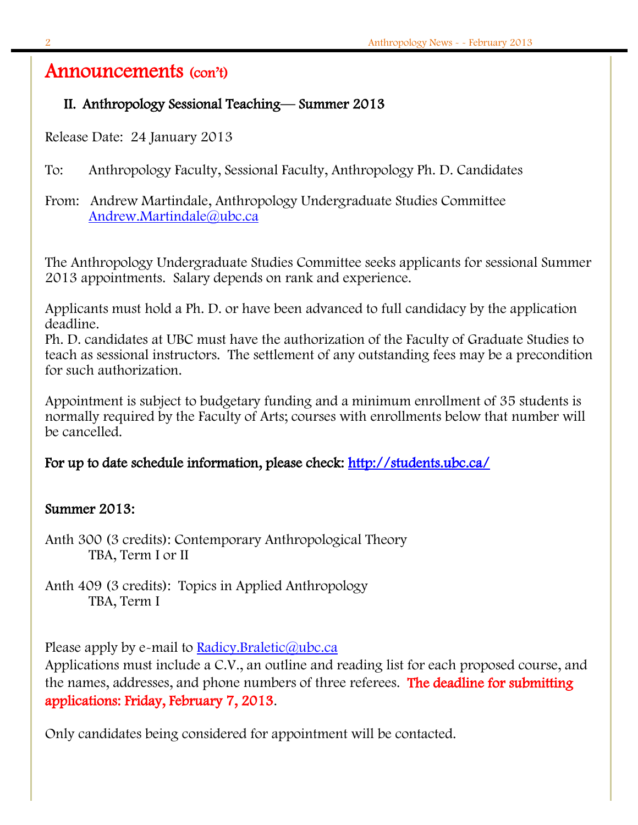### Announcements (con't)

#### II. Anthropology Sessional Teaching— Summer 2013

Release Date: 24 January 2013

- To: Anthropology Faculty, Sessional Faculty, Anthropology Ph. D. Candidates
- From: Andrew Martindale, Anthropology Undergraduate Studies Committee [Andrew.Martindale@ubc.ca](mailto:Andrew.Martindale@ubc.ca)

The Anthropology Undergraduate Studies Committee seeks applicants for sessional Summer 2013 appointments. Salary depends on rank and experience.

Applicants must hold a Ph. D. or have been advanced to full candidacy by the application deadline.

Ph. D. candidates at UBC must have the authorization of the Faculty of Graduate Studies to teach as sessional instructors. The settlement of any outstanding fees may be a precondition for such authorization.

Appointment is subject to budgetary funding and a minimum enrollment of 35 students is normally required by the Faculty of Arts; courses with enrollments below that number will be cancelled.

#### For up to date schedule information, please check: http://students.ubc.ca/

#### Summer 2013:

Anth 300 (3 credits): Contemporary Anthropological Theory TBA, Term I or II

Anth 409 (3 credits): Topics in Applied Anthropology TBA, Term I

Please apply by e-mail to **Radicy.**Braletic@ubc.ca

Applications must include a C.V., an outline and reading list for each proposed course, and the names, addresses, and phone numbers of three referees. The deadline for submitting applications: Friday, February 7, 2013.

Only candidates being considered for appointment will be contacted.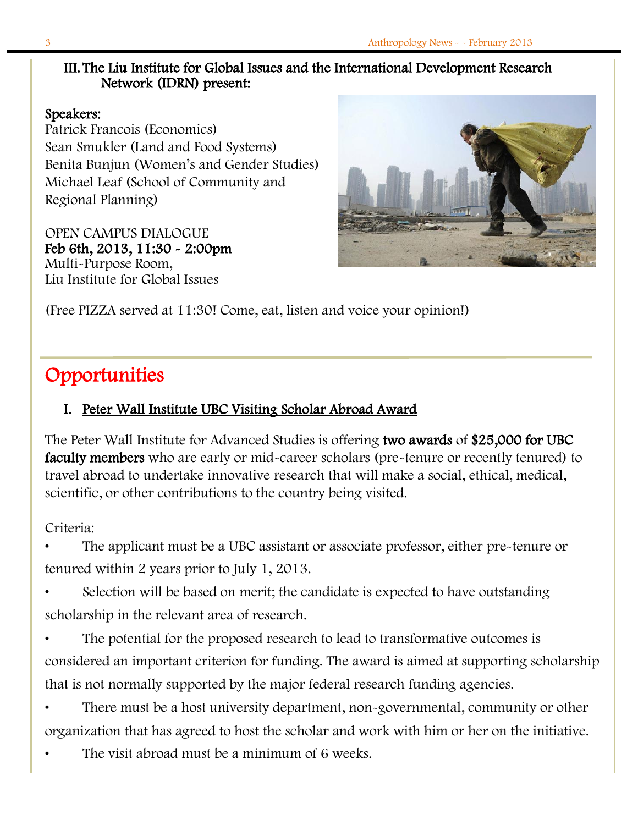#### III. The Liu Institute for Global Issues and the International Development Research Network (IDRN) present:

#### Speakers:

Patrick Francois (Economics) Sean Smukler (Land and Food Systems) Benita Bunjun (Women's and Gender Studies) Michael Leaf (School of Community and Regional Planning)

OPEN CAMPUS DIALOGUE Feb 6th, 2013, 11:30 - 2:00pm Multi-Purpose Room, Liu Institute for Global Issues



(Free PIZZA served at 11:30! Come, eat, listen and voice your opinion!)

## **Opportunities**

#### I. Peter Wall Institute UBC Visiting Scholar Abroad Award

The Peter Wall Institute for Advanced Studies is offering two awards of \$25,000 for UBC faculty members who are early or mid-career scholars (pre-tenure or recently tenured) to travel abroad to undertake innovative research that will make a social, ethical, medical, scientific, or other contributions to the country being visited.

Criteria:

• The applicant must be a UBC assistant or associate professor, either pre-tenure or tenured within 2 years prior to July 1, 2013.

Selection will be based on merit; the candidate is expected to have outstanding scholarship in the relevant area of research.

The potential for the proposed research to lead to transformative outcomes is considered an important criterion for funding. The award is aimed at supporting scholarship that is not normally supported by the major federal research funding agencies.

• There must be a host university department, non-governmental, community or other organization that has agreed to host the scholar and work with him or her on the initiative.

The visit abroad must be a minimum of 6 weeks.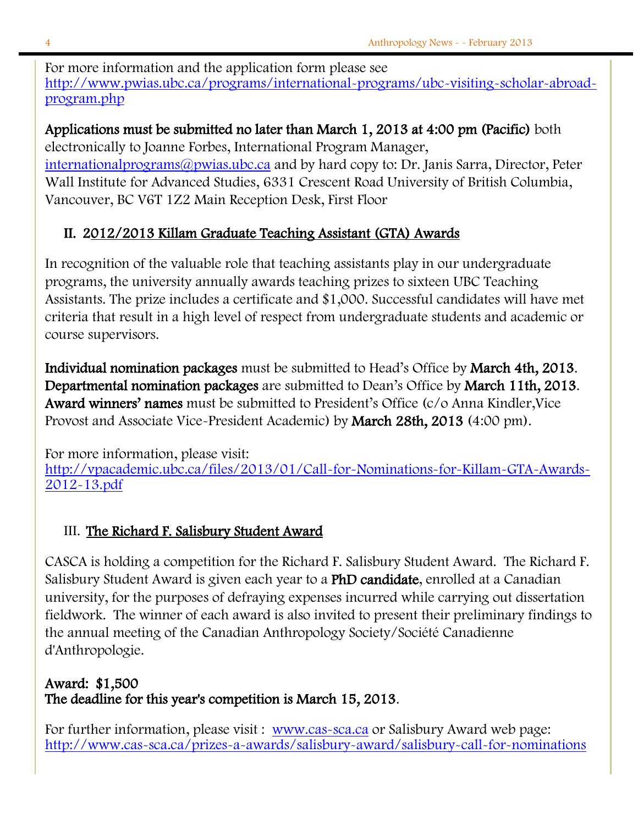For more information and the application form please see [http://www.pwias.ubc.ca/programs/international-programs/ubc-visiting-scholar-abroad](http://www.pwias.ubc.ca/programs/international-programs/ubc-visiting-scholar-abroad-program.php)[program.php](http://www.pwias.ubc.ca/programs/international-programs/ubc-visiting-scholar-abroad-program.php)

#### Applications must be submitted no later than March 1, 2013 at 4:00 pm (Pacific) both electronically to Joanne Forbes, International Program Manager,

[internationalprograms@pwias.ubc.ca](mailto:internationalprograms@pwias.ubc.ca) and by hard copy to: Dr. Janis Sarra, Director, Peter Wall Institute for Advanced Studies, 6331 Crescent Road University of British Columbia, Vancouver, BC V6T 1Z2 Main Reception Desk, First Floor

### II. 2012/2013 Killam Graduate Teaching Assistant (GTA) Awards

In recognition of the valuable role that teaching assistants play in our undergraduate programs, the university annually awards teaching prizes to sixteen UBC Teaching Assistants. The prize includes a certificate and \$1,000. Successful candidates will have met criteria that result in a high level of respect from undergraduate students and academic or course supervisors.

Individual nomination packages must be submitted to Head's Office by March 4th, 2013. Departmental nomination packages are submitted to Dean's Office by March 11th, 2013. Award winners' names must be submitted to President's Office (c/o Anna Kindler,Vice Provost and Associate Vice-President Academic) by March 28th, 2013 (4:00 pm).

For more information, please visit:

[http://vpacademic.ubc.ca/files/2013/01/Call-for-Nominations-for-Killam-GTA-Awards-](http://vpacademic.ubc.ca/files/2013/01/Call-for-Nominations-for-Killam-GTA-Awards-2012-13.pdf)[2012-13.pdf](http://vpacademic.ubc.ca/files/2013/01/Call-for-Nominations-for-Killam-GTA-Awards-2012-13.pdf)

### III. The Richard F. Salisbury Student Award

CASCA is holding a competition for the Richard F. Salisbury Student Award. The Richard F. Salisbury Student Award is given each year to a PhD candidate, enrolled at a Canadian university, for the purposes of defraying expenses incurred while carrying out dissertation fieldwork. The winner of each award is also invited to present their preliminary findings to the annual meeting of the Canadian Anthropology Society/Société Canadienne d'Anthropologie.

### Award: \$1,500 The deadline for this year's competition is March 15, 2013.

For further information, please visit : [www.cas-sca.ca](http://www.cas-sca.ca/) or Salisbury Award web page: <http://www.cas-sca.ca/prizes-a-awards/salisbury-award/salisbury-call-for-nominations>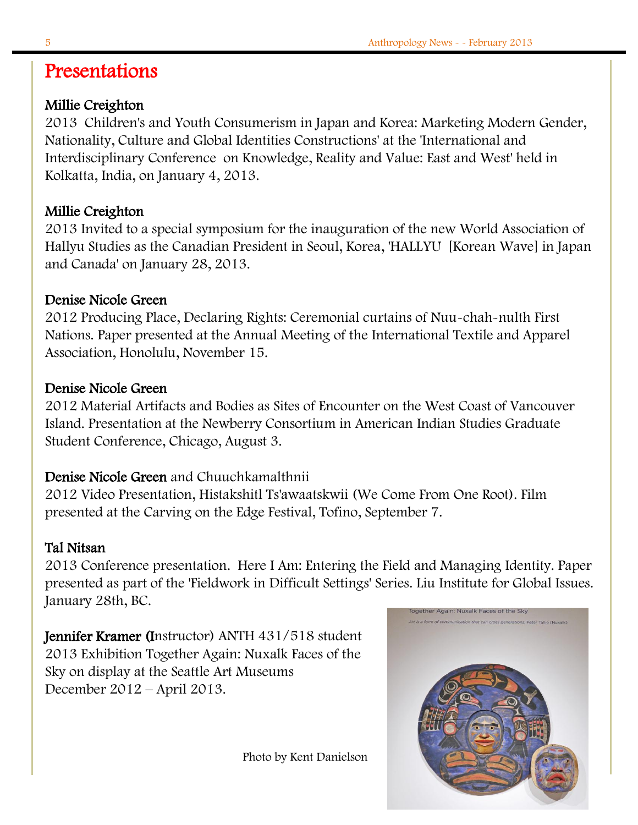## Presentations

#### Millie Creighton

2013 Children's and Youth Consumerism in Japan and Korea: Marketing Modern Gender, Nationality, Culture and Global Identities Constructions' at the 'International and Interdisciplinary Conference on Knowledge, Reality and Value: East and West' held in Kolkatta, India, on January 4, 2013.

### Millie Creighton

2013 Invited to a special symposium for the inauguration of the new World Association of Hallyu Studies as the Canadian President in Seoul, Korea, 'HALLYU [Korean Wave] in Japan and Canada' on January 28, 2013.

#### Denise Nicole Green

2012 Producing Place, Declaring Rights: Ceremonial curtains of Nuu-chah-nulth First Nations. Paper presented at the Annual Meeting of the International Textile and Apparel Association, Honolulu, November 15.

#### Denise Nicole Green

2012 Material Artifacts and Bodies as Sites of Encounter on the West Coast of Vancouver Island. Presentation at the Newberry Consortium in American Indian Studies Graduate Student Conference, Chicago, August 3.

#### Denise Nicole Green and Chuuchkamalthnii

2012 Video Presentation, Histakshitl Ts'awaatskwii (We Come From One Root). Film presented at the Carving on the Edge Festival, Tofino, September 7.

#### Tal Nitsan

2013 Conference presentation. Here I Am: Entering the Field and Managing Identity. Paper presented as part of the 'Fieldwork in Difficult Settings' Series. Liu Institute for Global Issues. January 28th, BC. Together Again: Nuxalk Faces of the Sky

Jennifer Kramer (Instructor) ANTH 431/518 student 2013 Exhibition Together Again: Nuxalk Faces of the Sky on display at the Seattle Art Museums December 2012 – April 2013.

Photo by Kent Danielson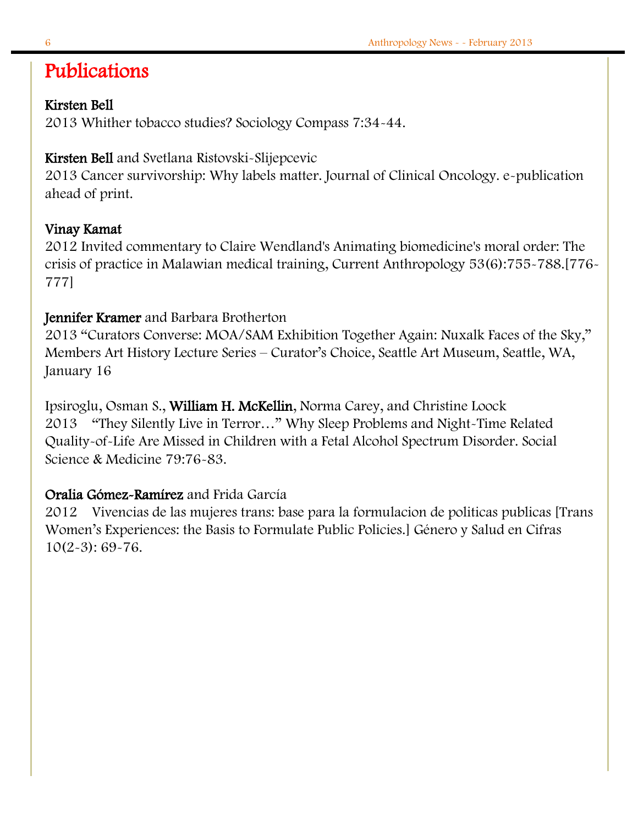## Publications

#### Kirsten Bell

2013 Whither tobacco studies? Sociology Compass 7:34-44.

### Kirsten Bell and Svetlana Ristovski-Slijepcevic

2013 Cancer survivorship: Why labels matter. Journal of Clinical Oncology. e-publication ahead of print.

#### Vinay Kamat

2012 Invited commentary to Claire Wendland's Animating biomedicine's moral order: The crisis of practice in Malawian medical training, Current Anthropology 53(6):755-788.[776- 777]

#### Jennifer Kramer and Barbara Brotherton

2013 "Curators Converse: MOA/SAM Exhibition Together Again: Nuxalk Faces of the Sky," Members Art History Lecture Series – Curator's Choice, Seattle Art Museum, Seattle, WA, January 16

Ipsiroglu, Osman S., William H. McKellin, Norma Carey, and Christine Loock 2013 "They Silently Live in Terror…" Why Sleep Problems and Night-Time Related Quality-of-Life Are Missed in Children with a Fetal Alcohol Spectrum Disorder. Social Science & Medicine 79:76-83.

### Oralia Gómez-Ramírez and Frida García

2012 Vivencias de las mujeres trans: base para la formulacion de politicas publicas [Trans Women's Experiences: the Basis to Formulate Public Policies.] Género y Salud en Cifras 10(2-3): 69-76.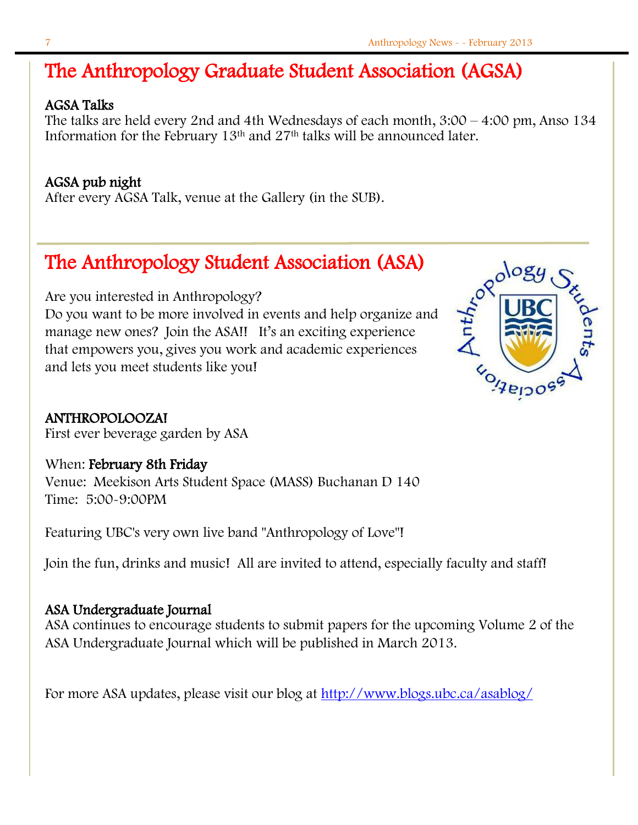## The Anthropology Graduate Student Association (AGSA)

#### AGSA Talks

The talks are held every 2nd and 4th Wednesdays of each month,  $3:00 - 4:00$  pm, Anso  $134$ Information for the February 13th and 27th talks will be announced later.

#### AGSA pub night

After every AGSA Talk, venue at the Gallery (in the SUB).

## The Anthropology Student Association (ASA)

Are you interested in Anthropology? Do you want to be more involved in events and help organize and manage new ones? Join the ASA!! It's an exciting experience that empowers you, gives you work and academic experiences and lets you meet students like you!



ANTHROPOLOOZA!

First ever beverage garden by ASA

When: February 8th Friday Venue: Meekison Arts Student Space (MASS) Buchanan D 140 Time: 5:00-9:00PM

Featuring UBC's very own live band "Anthropology of Love"!

Join the fun, drinks and music! All are invited to attend, especially faculty and staff!

#### ASA Undergraduate Journal

ASA continues to encourage students to submit papers for the upcoming Volume 2 of the ASA Undergraduate Journal which will be published in March 2013.

For more ASA updates, please visit our blog at<http://www.blogs.ubc.ca/asablog/>